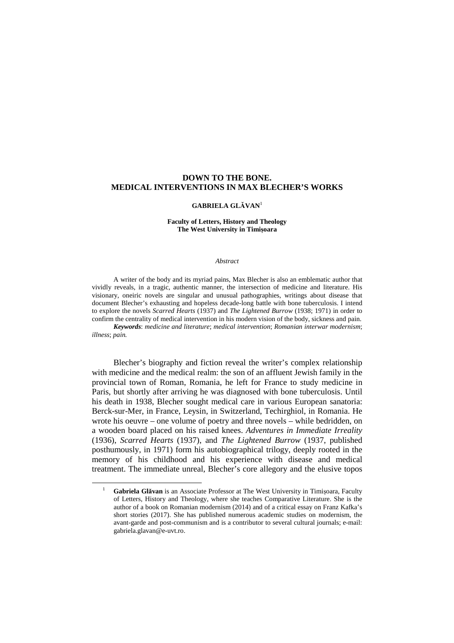# **DOWN TO THE BONE. MEDICAL INTERVENTIONS IN MAX BLECHER'S WORKS**

## **GABRIELA GLĂVAN**<sup>1</sup>

### **Faculty of Letters, History and Theology The West University in Timișoara**

#### *Abstract*

A writer of the body and its myriad pains, Max Blecher is also an emblematic author that vividly reveals, in a tragic, authentic manner, the intersection of medicine and literature. His visionary, oneiric novels are singular and unusual pathographies, writings about disease that document Blecher's exhausting and hopeless decade-long battle with bone tuberculosis. I intend to explore the novels *Scarred Hearts* (1937) and *The Lightened Burrow* (1938; 1971) in order to confirm the centrality of medical intervention in his modern vision of the body, sickness and pain. *Keywords*: *medicine and literature*; *medical intervention*; *Romanian interwar modernism*; *illness*; *pain.* 

Blecher's biography and fiction reveal the writer's complex relationship with medicine and the medical realm: the son of an affluent Jewish family in the provincial town of Roman, Romania, he left for France to study medicine in Paris, but shortly after arriving he was diagnosed with bone tuberculosis. Until his death in 1938, Blecher sought medical care in various European sanatoria: Berck-sur-Mer, in France, Leysin, in Switzerland, Techirghiol, in Romania. He wrote his oeuvre – one volume of poetry and three novels – while bedridden, on a wooden board placed on his raised knees. *Adventures in Immediate Irreality*  (1936), *Scarred Hearts* (1937), and *The Lightened Burrow* (1937, published posthumously, in 1971) form his autobiographical trilogy, deeply rooted in the memory of his childhood and his experience with disease and medical treatment. The immediate unreal, Blecher's core allegory and the elusive topos

 $\overline{a}$ 

<sup>1</sup> **Gabriela Glăvan** is an Associate Professor at The West University in Timișoara, Faculty of Letters, History and Theology, where she teaches Comparative Literature. She is the author of a book on Romanian modernism (2014) and of a critical essay on Franz Kafka's short stories (2017). She has published numerous academic studies on modernism, the avant-garde and post-communism and is a contributor to several cultural journals; e-mail: gabriela.glavan@e-uvt.ro.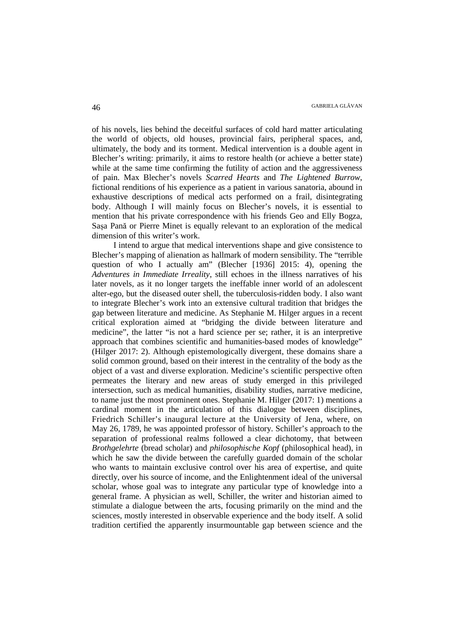of his novels, lies behind the deceitful surfaces of cold hard matter articulating the world of objects, old houses, provincial fairs, peripheral spaces, and, ultimately, the body and its torment. Medical intervention is a double agent in Blecher's writing: primarily, it aims to restore health (or achieve a better state) while at the same time confirming the futility of action and the aggressiveness of pain. Max Blecher's novels *Scarred Hearts* and *The Lightened Burrow*, fictional renditions of his experience as a patient in various sanatoria, abound in exhaustive descriptions of medical acts performed on a frail, disintegrating body. Although I will mainly focus on Blecher's novels, it is essential to mention that his private correspondence with his friends Geo and Elly Bogza, Sașa Pană or Pierre Minet is equally relevant to an exploration of the medical dimension of this writer's work.

I intend to argue that medical interventions shape and give consistence to Blecher's mapping of alienation as hallmark of modern sensibility. The "terrible question of who I actually am" (Blecher [1936] 2015: 4), opening the *Adventures in Immediate Irreality*, still echoes in the illness narratives of his later novels, as it no longer targets the ineffable inner world of an adolescent alter-ego, but the diseased outer shell, the tuberculosis-ridden body. I also want to integrate Blecher's work into an extensive cultural tradition that bridges the gap between literature and medicine. As Stephanie M. Hilger argues in a recent critical exploration aimed at "bridging the divide between literature and medicine", the latter "is not a hard science per se; rather, it is an interpretive approach that combines scientific and humanities-based modes of knowledge" (Hilger 2017: 2). Although epistemologically divergent, these domains share a solid common ground, based on their interest in the centrality of the body as the object of a vast and diverse exploration. Medicine's scientific perspective often permeates the literary and new areas of study emerged in this privileged intersection, such as medical humanities, disability studies, narrative medicine, to name just the most prominent ones. Stephanie M. Hilger (2017: 1) mentions a cardinal moment in the articulation of this dialogue between disciplines, Friedrich Schiller's inaugural lecture at the University of Jena, where, on May 26, 1789, he was appointed professor of history. Schiller's approach to the separation of professional realms followed a clear dichotomy, that between *Brothgelehrte* (bread scholar) and *philosophische Kopf* (philosophical head), in which he saw the divide between the carefully guarded domain of the scholar who wants to maintain exclusive control over his area of expertise, and quite directly, over his source of income, and the Enlightenment ideal of the universal scholar, whose goal was to integrate any particular type of knowledge into a general frame. A physician as well, Schiller, the writer and historian aimed to stimulate a dialogue between the arts, focusing primarily on the mind and the sciences, mostly interested in observable experience and the body itself. A solid tradition certified the apparently insurmountable gap between science and the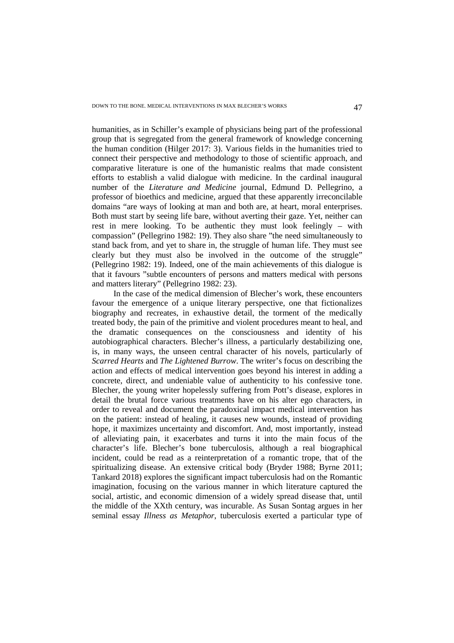humanities, as in Schiller's example of physicians being part of the professional group that is segregated from the general framework of knowledge concerning the human condition (Hilger 2017: 3). Various fields in the humanities tried to connect their perspective and methodology to those of scientific approach, and comparative literature is one of the humanistic realms that made consistent efforts to establish a valid dialogue with medicine. In the cardinal inaugural number of the *Literature and Medicine* journal, Edmund D. Pellegrino, a professor of bioethics and medicine, argued that these apparently irreconcilable domains "are ways of looking at man and both are, at heart, moral enterprises. Both must start by seeing life bare, without averting their gaze. Yet, neither can rest in mere looking. To be authentic they must look feelingly – with compassion" (Pellegrino 1982: 19). They also share "the need simultaneously to stand back from, and yet to share in, the struggle of human life. They must see clearly but they must also be involved in the outcome of the struggle" (Pellegrino 1982: 19). Indeed, one of the main achievements of this dialogue is that it favours "subtle encounters of persons and matters medical with persons and matters literary" (Pellegrino 1982: 23).

In the case of the medical dimension of Blecher's work, these encounters favour the emergence of a unique literary perspective, one that fictionalizes biography and recreates, in exhaustive detail, the torment of the medically treated body, the pain of the primitive and violent procedures meant to heal, and the dramatic consequences on the consciousness and identity of his autobiographical characters. Blecher's illness, a particularly destabilizing one, is, in many ways, the unseen central character of his novels, particularly of *Scarred Hearts* and *The Lightened Burrow*. The writer's focus on describing the action and effects of medical intervention goes beyond his interest in adding a concrete, direct, and undeniable value of authenticity to his confessive tone. Blecher, the young writer hopelessly suffering from Pott's disease, explores in detail the brutal force various treatments have on his alter ego characters, in order to reveal and document the paradoxical impact medical intervention has on the patient: instead of healing, it causes new wounds, instead of providing hope, it maximizes uncertainty and discomfort. And, most importantly, instead of alleviating pain, it exacerbates and turns it into the main focus of the character's life. Blecher's bone tuberculosis, although a real biographical incident, could be read as a reinterpretation of a romantic trope, that of the spiritualizing disease. An extensive critical body (Bryder 1988; Byrne 2011; Tankard 2018) explores the significant impact tuberculosis had on the Romantic imagination, focusing on the various manner in which literature captured the social, artistic, and economic dimension of a widely spread disease that, until the middle of the XXth century, was incurable. As Susan Sontag argues in her seminal essay *Illness as Metaphor*, tuberculosis exerted a particular type of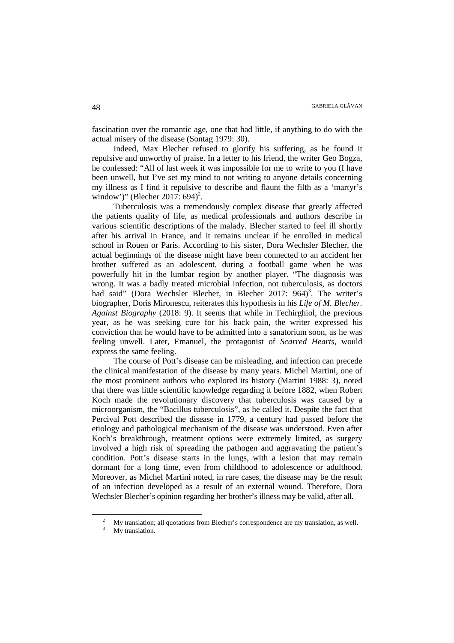fascination over the romantic age, one that had little, if anything to do with the actual misery of the disease (Sontag 1979: 30).

Indeed, Max Blecher refused to glorify his suffering, as he found it repulsive and unworthy of praise. In a letter to his friend, the writer Geo Bogza, he confessed: "All of last week it was impossible for me to write to you (I have been unwell, but I've set my mind to not writing to anyone details concerning my illness as I find it repulsive to describe and flaunt the filth as a 'martyr's window')" (Blecher 2017:  $694$ <sup>2</sup>.

Tuberculosis was a tremendously complex disease that greatly affected the patients quality of life, as medical professionals and authors describe in various scientific descriptions of the malady. Blecher started to feel ill shortly after his arrival in France, and it remains unclear if he enrolled in medical school in Rouen or Paris. According to his sister, Dora Wechsler Blecher, the actual beginnings of the disease might have been connected to an accident her brother suffered as an adolescent, during a football game when he was powerfully hit in the lumbar region by another player. "The diagnosis was wrong. It was a badly treated microbial infection, not tuberculosis, as doctors had said" (Dora Wechsler Blecher, in Blecher 2017: 964)<sup>3</sup>. The writer's biographer, Doris Mironescu, reiterates this hypothesis in his *Life of M. Blecher. Against Biography* (2018: 9). It seems that while in Techirghiol, the previous year, as he was seeking cure for his back pain, the writer expressed his conviction that he would have to be admitted into a sanatorium soon, as he was feeling unwell. Later, Emanuel, the protagonist of *Scarred Hearts*, would express the same feeling.

The course of Pott's disease can be misleading, and infection can precede the clinical manifestation of the disease by many years. Michel Martini, one of the most prominent authors who explored its history (Martini 1988: 3), noted that there was little scientific knowledge regarding it before 1882, when Robert Koch made the revolutionary discovery that tuberculosis was caused by a microorganism, the "Bacillus tuberculosis", as he called it. Despite the fact that Percival Pott described the disease in 1779, a century had passed before the etiology and pathological mechanism of the disease was understood. Even after Koch's breakthrough, treatment options were extremely limited, as surgery involved a high risk of spreading the pathogen and aggravating the patient's condition. Pott's disease starts in the lungs, with a lesion that may remain dormant for a long time, even from childhood to adolescence or adulthood. Moreover, as Michel Martini noted, in rare cases, the disease may be the result of an infection developed as a result of an external wound. Therefore, Dora Wechsler Blecher's opinion regarding her brother's illness may be valid, after all.

l

<sup>2</sup> My translation; all quotations from Blecher's correspondence are my translation, as well. 3 My translation.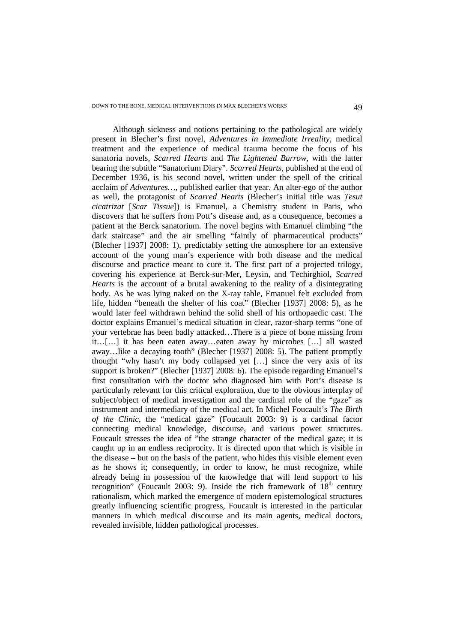Although sickness and notions pertaining to the pathological are widely present in Blecher's first novel, *Adventures in Immediate Irreality*, medical treatment and the experience of medical trauma become the focus of his sanatoria novels, *Scarred Hearts* and *The Lightened Burrow*, with the latter bearing the subtitle "Sanatorium Diary". *Scarred Hearts*, published at the end of December 1936, is his second novel, written under the spell of the critical acclaim of *Adventures…*, published earlier that year. An alter-ego of the author as well, the protagonist of *Scarred Hearts* (Blecher's initial title was *Țesut cicatrizat* [*Scar Tissue*]) is Emanuel, a Chemistry student in Paris, who discovers that he suffers from Pott's disease and, as a consequence, becomes a patient at the Berck sanatorium. The novel begins with Emanuel climbing "the dark staircase" and the air smelling "faintly of pharmaceutical products" (Blecher [1937] 2008: 1), predictably setting the atmosphere for an extensive account of the young man's experience with both disease and the medical discourse and practice meant to cure it. The first part of a projected trilogy, covering his experience at Berck-sur-Mer, Leysin, and Techirghiol, *Scarred Hearts* is the account of a brutal awakening to the reality of a disintegrating body. As he was lying naked on the X-ray table, Emanuel felt excluded from life, hidden "beneath the shelter of his coat" (Blecher [1937] 2008: 5), as he would later feel withdrawn behind the solid shell of his orthopaedic cast. The doctor explains Emanuel's medical situation in clear, razor-sharp terms "one of your vertebrae has been badly attacked…There is a piece of bone missing from it…[…] it has been eaten away…eaten away by microbes […] all wasted away…like a decaying tooth" (Blecher [1937] 2008: 5). The patient promptly thought "why hasn't my body collapsed yet […] since the very axis of its support is broken?" (Blecher [1937] 2008: 6). The episode regarding Emanuel's first consultation with the doctor who diagnosed him with Pott's disease is particularly relevant for this critical exploration, due to the obvious interplay of subject/object of medical investigation and the cardinal role of the "gaze" as instrument and intermediary of the medical act. In Michel Foucault's *The Birth of the Clinic*, the "medical gaze" (Foucault 2003: 9) is a cardinal factor connecting medical knowledge, discourse, and various power structures. Foucault stresses the idea of "the strange character of the medical gaze; it is caught up in an endless reciprocity. It is directed upon that which is visible in the disease – but on the basis of the patient, who hides this visible element even as he shows it; consequently, in order to know, he must recognize, while already being in possession of the knowledge that will lend support to his recognition" (Foucault 2003: 9). Inside the rich framework of  $18<sup>th</sup>$  century rationalism, which marked the emergence of modern epistemological structures greatly influencing scientific progress, Foucault is interested in the particular manners in which medical discourse and its main agents, medical doctors, revealed invisible, hidden pathological processes.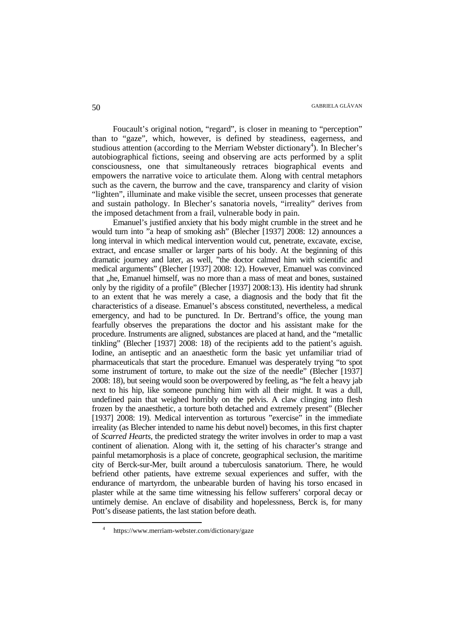Foucault's original notion, "regard", is closer in meaning to "perception" than to "gaze", which, however, is defined by steadiness, eagerness, and studious attention (according to the Merriam Webster dictionary<sup>4</sup>). In Blecher's autobiographical fictions, seeing and observing are acts performed by a split consciousness, one that simultaneously retraces biographical events and empowers the narrative voice to articulate them. Along with central metaphors such as the cavern, the burrow and the cave, transparency and clarity of vision "lighten", illuminate and make visible the secret, unseen processes that generate and sustain pathology. In Blecher's sanatoria novels, "irreality" derives from the imposed detachment from a frail, vulnerable body in pain.

Emanuel's justified anxiety that his body might crumble in the street and he would turn into "a heap of smoking ash" (Blecher [1937] 2008: 12) announces a long interval in which medical intervention would cut, penetrate, excavate, excise, extract, and encase smaller or larger parts of his body. At the beginning of this dramatic journey and later, as well, "the doctor calmed him with scientific and medical arguments" (Blecher [1937] 2008: 12). However, Emanuel was convinced that  $n$ , he, Emanuel himself, was no more than a mass of meat and bones, sustained only by the rigidity of a profile" (Blecher [1937] 2008:13). His identity had shrunk to an extent that he was merely a case, a diagnosis and the body that fit the characteristics of a disease. Emanuel's abscess constituted, nevertheless, a medical emergency, and had to be punctured. In Dr. Bertrand's office, the young man fearfully observes the preparations the doctor and his assistant make for the procedure. Instruments are aligned, substances are placed at hand, and the "metallic tinkling" (Blecher [1937] 2008: 18) of the recipients add to the patient's aguish. Iodine, an antiseptic and an anaesthetic form the basic yet unfamiliar triad of pharmaceuticals that start the procedure. Emanuel was desperately trying "to spot some instrument of torture, to make out the size of the needle" (Blecher [1937] 2008: 18), but seeing would soon be overpowered by feeling, as "he felt a heavy jab next to his hip, like someone punching him with all their might. It was a dull, undefined pain that weighed horribly on the pelvis. A claw clinging into flesh frozen by the anaesthetic, a torture both detached and extremely present" (Blecher [1937] 2008: 19). Medical intervention as torturous "exercise" in the immediate irreality (as Blecher intended to name his debut novel) becomes, in this first chapter of *Scarred Hearts*, the predicted strategy the writer involves in order to map a vast continent of alienation. Along with it, the setting of his character's strange and painful metamorphosis is a place of concrete, geographical seclusion, the maritime city of Berck-sur-Mer, built around a tuberculosis sanatorium. There, he would befriend other patients, have extreme sexual experiences and suffer, with the endurance of martyrdom, the unbearable burden of having his torso encased in plaster while at the same time witnessing his fellow sufferers' corporal decay or untimely demise. An enclave of disability and hopelessness, Berck is, for many Pott's disease patients, the last station before death.

 $\overline{a}$ 

<sup>4</sup> https://www.merriam-webster.com/dictionary/gaze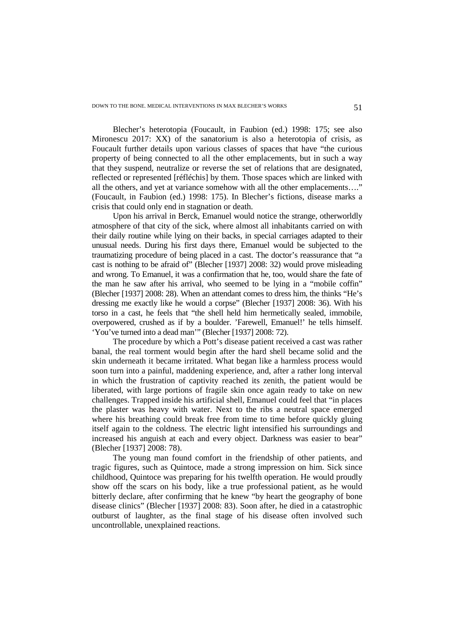Blecher's heterotopia (Foucault, in Faubion (ed.) 1998: 175; see also Mironescu 2017: XX) of the sanatorium is also a heterotopia of crisis, as Foucault further details upon various classes of spaces that have "the curious property of being connected to all the other emplacements, but in such a way that they suspend, neutralize or reverse the set of relations that are designated, reflected or represented [réfléchis] by them. Those spaces which are linked with all the others, and yet at variance somehow with all the other emplacements…." (Foucault, in Faubion (ed.) 1998: 175). In Blecher's fictions, disease marks a crisis that could only end in stagnation or death.

Upon his arrival in Berck, Emanuel would notice the strange, otherworldly atmosphere of that city of the sick, where almost all inhabitants carried on with their daily routine while lying on their backs, in special carriages adapted to their unusual needs. During his first days there, Emanuel would be subjected to the traumatizing procedure of being placed in a cast. The doctor's reassurance that "a cast is nothing to be afraid of" (Blecher [1937] 2008: 32) would prove misleading and wrong. To Emanuel, it was a confirmation that he, too, would share the fate of the man he saw after his arrival, who seemed to be lying in a "mobile coffin" (Blecher [1937] 2008: 28). When an attendant comes to dress him, the thinks "He's dressing me exactly like he would a corpse" (Blecher [1937] 2008: 36). With his torso in a cast, he feels that "the shell held him hermetically sealed, immobile, overpowered, crushed as if by a boulder. 'Farewell, Emanuel!' he tells himself. 'You've turned into a dead man'" (Blecher [1937] 2008: 72).

The procedure by which a Pott's disease patient received a cast was rather banal, the real torment would begin after the hard shell became solid and the skin underneath it became irritated. What began like a harmless process would soon turn into a painful, maddening experience, and, after a rather long interval in which the frustration of captivity reached its zenith, the patient would be liberated, with large portions of fragile skin once again ready to take on new challenges. Trapped inside his artificial shell, Emanuel could feel that "in places the plaster was heavy with water. Next to the ribs a neutral space emerged where his breathing could break free from time to time before quickly gluing itself again to the coldness. The electric light intensified his surroundings and increased his anguish at each and every object. Darkness was easier to bear" (Blecher [1937] 2008: 78).

The young man found comfort in the friendship of other patients, and tragic figures, such as Quintoce, made a strong impression on him. Sick since childhood, Quintoce was preparing for his twelfth operation. He would proudly show off the scars on his body, like a true professional patient, as he would bitterly declare, after confirming that he knew "by heart the geography of bone disease clinics" (Blecher [1937] 2008: 83). Soon after, he died in a catastrophic outburst of laughter, as the final stage of his disease often involved such uncontrollable, unexplained reactions.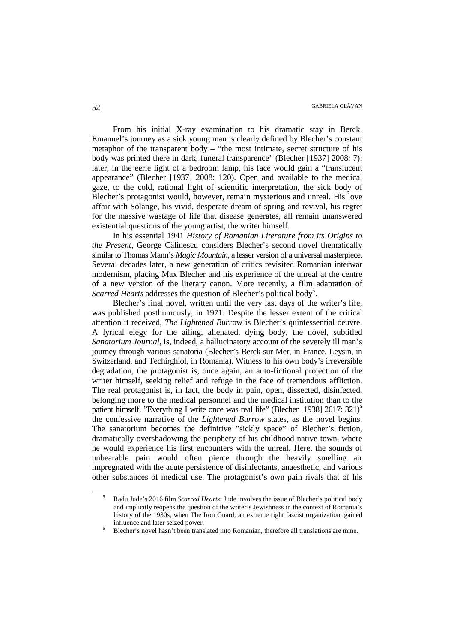From his initial X-ray examination to his dramatic stay in Berck, Emanuel's journey as a sick young man is clearly defined by Blecher's constant metaphor of the transparent body – "the most intimate, secret structure of his body was printed there in dark, funeral transparence" (Blecher [1937] 2008: 7); later, in the eerie light of a bedroom lamp, his face would gain a "translucent appearance" (Blecher [1937] 2008: 120). Open and available to the medical gaze, to the cold, rational light of scientific interpretation, the sick body of Blecher's protagonist would, however, remain mysterious and unreal. His love affair with Solange, his vivid, desperate dream of spring and revival, his regret for the massive wastage of life that disease generates, all remain unanswered existential questions of the young artist, the writer himself.

In his essential 1941 *History of Romanian Literature from its Origins to the Present*, George Călinescu considers Blecher's second novel thematically similar to Thomas Mann's *Magic Mountain*, a lesser version of a universal masterpiece. Several decades later, a new generation of critics revisited Romanian interwar modernism, placing Max Blecher and his experience of the unreal at the centre of a new version of the literary canon. More recently, a film adaptation of Scarred Hearts addresses the question of Blecher's political body<sup>5</sup>.

Blecher's final novel, written until the very last days of the writer's life, was published posthumously, in 1971. Despite the lesser extent of the critical attention it received, *The Lightened Burr*ow is Blecher's quintessential oeuvre. A lyrical elegy for the ailing, alienated, dying body, the novel, subtitled *Sanatorium Journal*, is, indeed, a hallucinatory account of the severely ill man's journey through various sanatoria (Blecher's Berck-sur-Mer, in France, Leysin, in Switzerland, and Techirghiol, in Romania). Witness to his own body's irreversible degradation, the protagonist is, once again, an auto-fictional projection of the writer himself, seeking relief and refuge in the face of tremendous affliction. The real protagonist is, in fact, the body in pain, open, dissected, disinfected, belonging more to the medical personnel and the medical institution than to the patient himself. "Everything I write once was real life" (Blecher [1938] 2017: 321)<sup>6</sup> the confessive narrative of the *Lightened Burrow* states, as the novel begins. The sanatorium becomes the definitive "sickly space" of Blecher's fiction, dramatically overshadowing the periphery of his childhood native town, where he would experience his first encounters with the unreal. Here, the sounds of unbearable pain would often pierce through the heavily smelling air impregnated with the acute persistence of disinfectants, anaesthetic, and various other substances of medical use. The protagonist's own pain rivals that of his

l

<sup>5</sup> Radu Jude's 2016 film *Scarred Hearts*; Jude involves the issue of Blecher's political body and implicitly reopens the question of the writer's Jewishness in the context of Romania's history of the 1930s, when The Iron Guard, an extreme right fascist organization, gained influence and later seized power.

<sup>6</sup> Blecher's novel hasn't been translated into Romanian, therefore all translations are mine.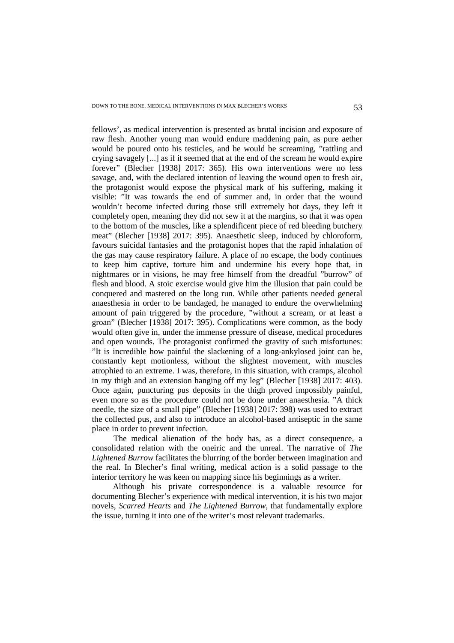fellows', as medical intervention is presented as brutal incision and exposure of raw flesh. Another young man would endure maddening pain, as pure aether would be poured onto his testicles, and he would be screaming, "rattling and crying savagely [...] as if it seemed that at the end of the scream he would expire forever" (Blecher [1938] 2017: 365). His own interventions were no less savage, and, with the declared intention of leaving the wound open to fresh air, the protagonist would expose the physical mark of his suffering, making it visible: "It was towards the end of summer and, in order that the wound wouldn't become infected during those still extremely hot days, they left it completely open, meaning they did not sew it at the margins, so that it was open to the bottom of the muscles, like a splendificent piece of red bleeding butchery meat" (Blecher [1938] 2017: 395). Anaesthetic sleep, induced by chloroform, favours suicidal fantasies and the protagonist hopes that the rapid inhalation of the gas may cause respiratory failure. A place of no escape, the body continues to keep him captive, torture him and undermine his every hope that, in nightmares or in visions, he may free himself from the dreadful "burrow" of flesh and blood. A stoic exercise would give him the illusion that pain could be conquered and mastered on the long run. While other patients needed general anaesthesia in order to be bandaged, he managed to endure the overwhelming amount of pain triggered by the procedure, "without a scream, or at least a groan" (Blecher [1938] 2017: 395). Complications were common, as the body would often give in, under the immense pressure of disease, medical procedures and open wounds. The protagonist confirmed the gravity of such misfortunes: "It is incredible how painful the slackening of a long-ankylosed joint can be, constantly kept motionless, without the slightest movement, with muscles atrophied to an extreme. I was, therefore, in this situation, with cramps, alcohol in my thigh and an extension hanging off my leg" (Blecher [1938] 2017: 403). Once again, puncturing pus deposits in the thigh proved impossibly painful, even more so as the procedure could not be done under anaesthesia. "A thick needle, the size of a small pipe" (Blecher [1938] 2017: 398) was used to extract the collected pus, and also to introduce an alcohol-based antiseptic in the same place in order to prevent infection.

The medical alienation of the body has, as a direct consequence, a consolidated relation with the oneiric and the unreal. The narrative of *The Lightened Burrow* facilitates the blurring of the border between imagination and the real. In Blecher's final writing, medical action is a solid passage to the interior territory he was keen on mapping since his beginnings as a writer.

Although his private correspondence is a valuable resource for documenting Blecher's experience with medical intervention, it is his two major novels, *Scarred Hearts* and *The Lightened Burrow*, that fundamentally explore the issue, turning it into one of the writer's most relevant trademarks.